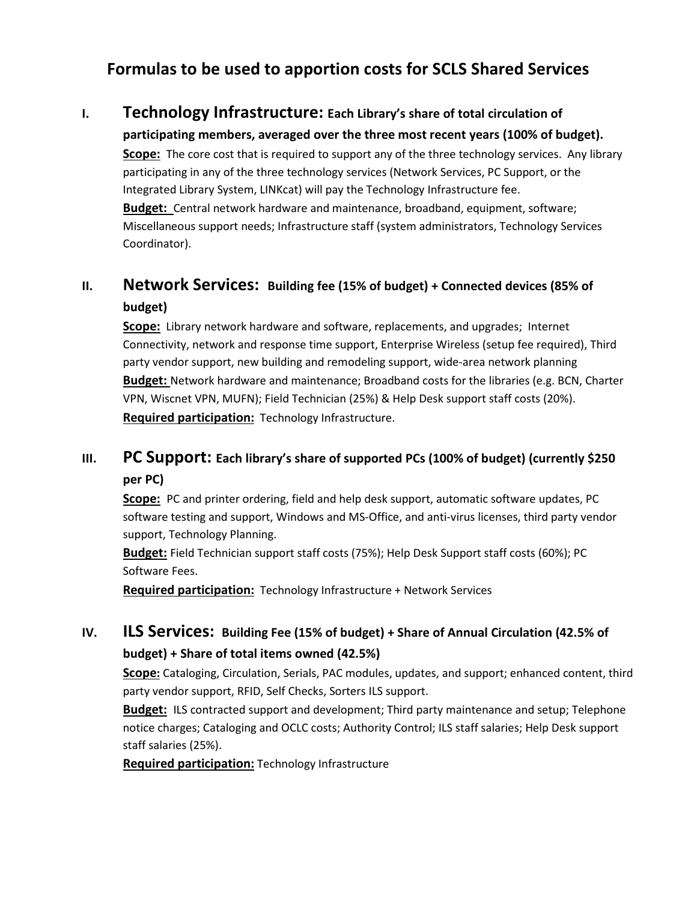# Formulas to be used to apportion costs for SCLS Shared Services

### I. Technology Infrastructure: Each Library's share of total circulation of

participating members, averaged over the three most recent years (100% of budget). Scope: The core cost that is required to support any of the three technology services. Any library participating in any of the three technology services (Network Services, PC Support, or the Integrated Library System, LINKcat) will pay the Technology Infrastructure fee. Budget: Central network hardware and maintenance, broadband, equipment, software; Miscellaneous support needs; Infrastructure staff (system administrators, Technology Services Coordinator).

## II. Network Services: Building fee (15% of budget) + Connected devices (85% of budget)

Scope: Library network hardware and software, replacements, and upgrades; Internet Connectivity, network and response time support, Enterprise Wireless (setup fee required), Third party vendor support, new building and remodeling support, wide-area network planning Budget: Network hardware and maintenance; Broadband costs for the libraries (e.g. BCN, Charter VPN, Wiscnet VPN, MUFN); Field Technician (25%) & Help Desk support staff costs (20%). Required participation: Technology Infrastructure.

## III. PC Support: Each library's share of supported PCs (100% of budget) (currently \$250 per PC)

**Scope:** PC and printer ordering, field and help desk support, automatic software updates, PC software testing and support, Windows and MS-Office, and anti-virus licenses, third party vendor support, Technology Planning.

Budget: Field Technician support staff costs (75%); Help Desk Support staff costs (60%); PC Software Fees.

Required participation: Technology Infrastructure + Network Services

## IV. **ILS Services:** Building Fee (15% of budget) + Share of Annual Circulation (42.5% of budget) + Share of total items owned (42.5%)

Scope: Cataloging, Circulation, Serials, PAC modules, updates, and support; enhanced content, third party vendor support, RFID, Self Checks, Sorters ILS support.

**Budget:** ILS contracted support and development; Third party maintenance and setup; Telephone notice charges; Cataloging and OCLC costs; Authority Control; ILS staff salaries; Help Desk support staff salaries (25%).

Required participation: Technology Infrastructure